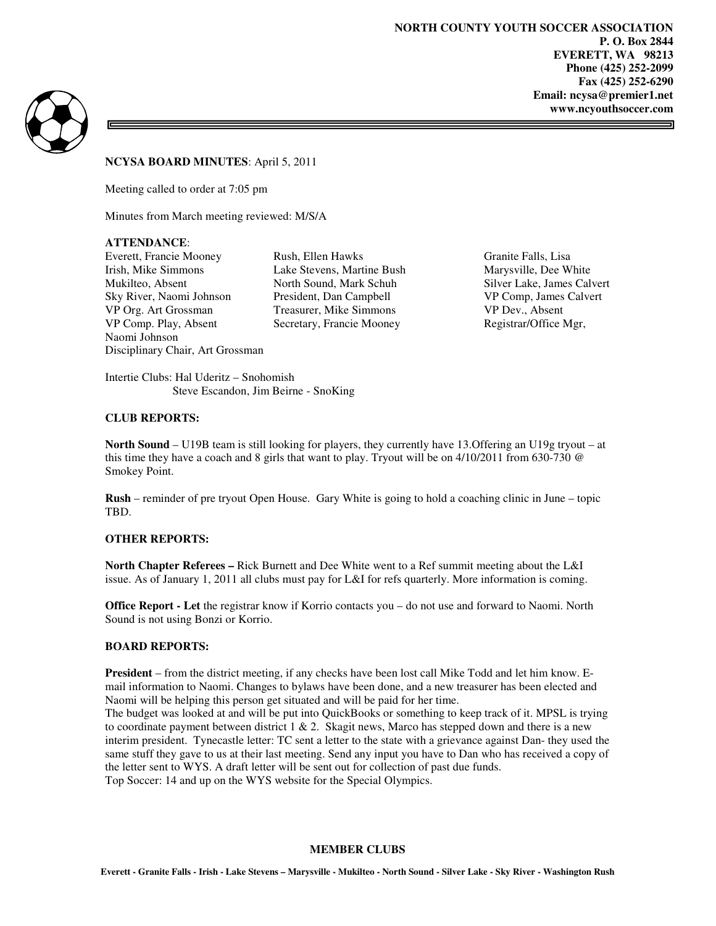**NORTH COUNTY YOUTH SOCCER ASSOCIATION P. O. Box 2844 EVERETT, WA 98213 Phone (425) 252-2099 Fax (425) 252-6290 Email: ncysa@premier1.net www.ncyouthsoccer.com** 



# **NCYSA BOARD MINUTES**: April 5, 2011

Meeting called to order at 7:05 pm

Minutes from March meeting reviewed: M/S/A

# **ATTENDANCE**:

Everett, Francie Mooney Rush, Ellen Hawks Granite Falls, Lisa Irish, Mike Simmons Lake Stevens, Martine Bush Marysville, Dee White<br>Mukilteo, Absent North Sound, Mark Schuh Silver Lake, James Cal Mukilteo, Absent North Sound, Mark Schuh Silver Lake, James Calvert Sky River, Naomi Johnson President, Dan Campbell VP Org. Art Grossman Treasurer, Mike Simmons VP Dev., Absent VP Comp. Play, Absent Secretary, Francie Mooney Registrar/Office Mgr, Naomi Johnson Disciplinary Chair, Art Grossman

Intertie Clubs: Hal Uderitz – Snohomish Steve Escandon, Jim Beirne - SnoKing

# **CLUB REPORTS:**

**North Sound** – U19B team is still looking for players, they currently have 13.Offering an U19g tryout – at this time they have a coach and 8 girls that want to play. Tryout will be on  $4/10/2011$  from 630-730  $\circledcirc$ Smokey Point.

**Rush** – reminder of pre tryout Open House. Gary White is going to hold a coaching clinic in June – topic TBD.

# **OTHER REPORTS:**

**North Chapter Referees –** Rick Burnett and Dee White went to a Ref summit meeting about the L&I issue. As of January 1, 2011 all clubs must pay for L&I for refs quarterly. More information is coming.

**Office Report - Let** the registrar know if Korrio contacts you – do not use and forward to Naomi. North Sound is not using Bonzi or Korrio.

# **BOARD REPORTS:**

**President** – from the district meeting, if any checks have been lost call Mike Todd and let him know. Email information to Naomi. Changes to bylaws have been done, and a new treasurer has been elected and Naomi will be helping this person get situated and will be paid for her time.

The budget was looked at and will be put into QuickBooks or something to keep track of it. MPSL is trying to coordinate payment between district  $1 \& 2$ . Skagit news, Marco has stepped down and there is a new interim president. Tynecastle letter: TC sent a letter to the state with a grievance against Dan- they used the same stuff they gave to us at their last meeting. Send any input you have to Dan who has received a copy of the letter sent to WYS. A draft letter will be sent out for collection of past due funds. Top Soccer: 14 and up on the WYS website for the Special Olympics.

# **MEMBER CLUBS**